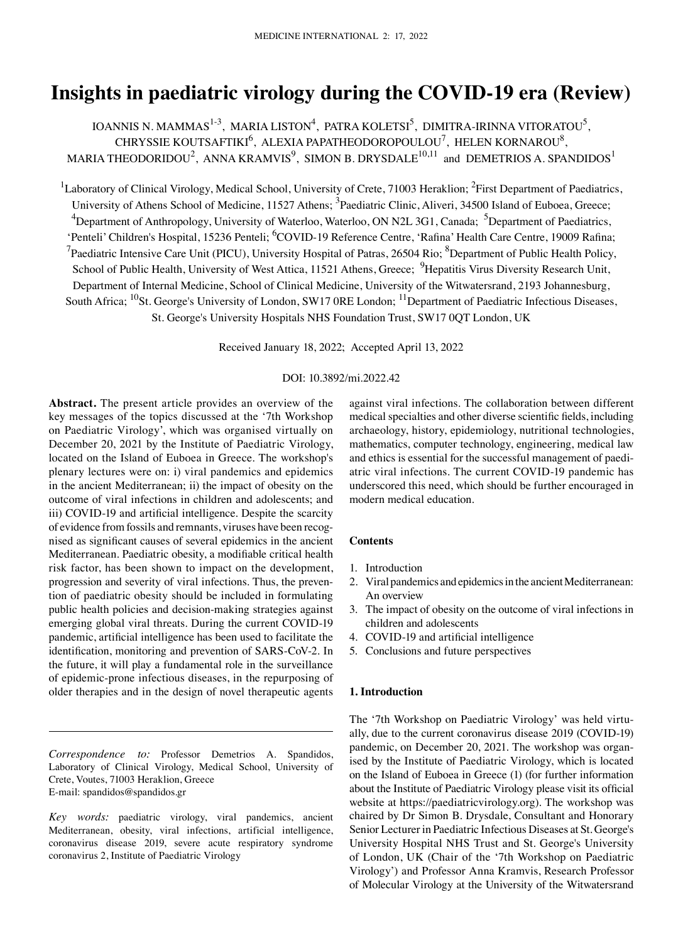# **Insights in paediatric virology during the COVID‑19 era (Review)**

IOANNIS N. MAMMAS $^{1-3}$ , MARIA LISTON $^4$ , PATRA KOLETSI $^5$ , DIMITRA-IRINNA VITORATOU $^5$ , CHRYSSIE KOUTSAFTIKI $^6$ , ALEXIA PAPATHEODOROPOULOU<sup>7</sup>, HELEN KORNAROU $^8$ , MARIA THEODORIDOU<sup>2</sup>, ANNA KRAMVIS<sup>9</sup>, SIMON B. DRYSDALE<sup>10,11</sup> and DEMETRIOS A. SPANDIDOS<sup>1</sup>

 $^1$ Laboratory of Clinical Virology, Medical School, University of Crete, 71003 Heraklion; <sup>2</sup>First Department of Paediatrics, University of Athens School of Medicine, 11527 Athens; <sup>3</sup>Paediatric Clinic, Aliveri, 34500 Island of Euboea, Greece; <sup>4</sup>Department of Anthropology, University of Waterloo, Waterloo, ON N2L 3G1, Canada; <sup>5</sup>Department of Paediatrics, 'Penteli' Children's Hospital, 15236 Penteli; <sup>6</sup>COVID-19 Reference Centre, 'Rafina' Health Care Centre, 19009 Rafina; <sup>7</sup>Paediatric Intensive Care Unit (PICU), University Hospital of Patras, 26504 Rio;  ${}^{8}$ Department of Public Health Policy, School of Public Health, University of West Attica, 11521 Athens, Greece; <sup>9</sup>Hepatitis Virus Diversity Research Unit, Department of Internal Medicine, School of Clinical Medicine, University of the Witwatersrand, 2193 Johannesburg, South Africa; <sup>10</sup>St. George's University of London, SW17 0RE London; <sup>11</sup>Department of Paediatric Infectious Diseases, St. George's University Hospitals NHS Foundation Trust, SW17 0QT London, UK

Received January 18, 2022; Accepted April 13, 2022

## DOI: 10.3892/mi.2022.42

**Abstract.** The present article provides an overview of the key messages of the topics discussed at the '7th Workshop on Paediatric Virology', which was organised virtually on December 20, 2021 by the Institute of Paediatric Virology, located on the Island of Euboea in Greece. The workshop's plenary lectures were on: i) viral pandemics and epidemics in the ancient Mediterranean; ii) the impact of obesity on the outcome of viral infections in children and adolescents; and iii) COVID-19 and artificial intelligence. Despite the scarcity of evidence from fossils and remnants, viruses have been recognised as significant causes of several epidemics in the ancient Mediterranean. Paediatric obesity, a modifiable critical health risk factor, has been shown to impact on the development, progression and severity of viral infections. Thus, the prevention of paediatric obesity should be included in formulating public health policies and decision-making strategies against emerging global viral threats. During the current COVID-19 pandemic, artificial intelligence has been used to facilitate the identification, monitoring and prevention of SARS-CoV-2. In the future, it will play a fundamental role in the surveillance of epidemic-prone infectious diseases, in the repurposing of older therapies and in the design of novel therapeutic agents

*Correspondence to:* Professor Demetrios A. Spandidos, Laboratory of Clinical Virology, Medical School, University of Crete, Voutes, 71003 Heraklion, Greece E-mail: spandidos@spandidos.gr

*Key words:* paediatric virology, viral pandemics, ancient Mediterranean, obesity, viral infections, artificial intelligence, coronavirus disease 2019, severe acute respiratory syndrome coronavirus 2, Institute of Paediatric Virology

against viral infections. The collaboration between different medical specialties and other diverse scientific fields, including archaeology, history, epidemiology, nutritional technologies, mathematics, computer technology, engineering, medical law and ethics is essential for the successful management of paediatric viral infections. The current COVID-19 pandemic has underscored this need, which should be further encouraged in modern medical education.

## **Contents**

- 1. Introduction
- 2. Viral pandemics and epidemics in the ancient Mediterranean: An overview
- 3. The impact of obesity on the outcome of viral infections in children and adolescents
- 4. COVID‑19 and artificial intelligence
- 5. Conclusions and future perspectives

#### **1. Introduction**

The '7th Workshop on Paediatric Virology' was held virtually, due to the current coronavirus disease 2019 (COVID-19) pandemic, on December 20, 2021. The workshop was organised by the Institute of Paediatric Virology, which is located on the Island of Euboea in Greece (1) (for further information about the Institute of Paediatric Virology please visit its official website at https://paediatricvirology.org). The workshop was chaired by Dr Simon B. Drysdale, Consultant and Honorary Senior Lecturer in Paediatric Infectious Diseases at St. George's University Hospital NHS Trust and St. George's University of London, UK (Chair of the '7th Workshop on Paediatric Virology') and Professor Anna Kramvis, Research Professor of Molecular Virology at the University of the Witwatersrand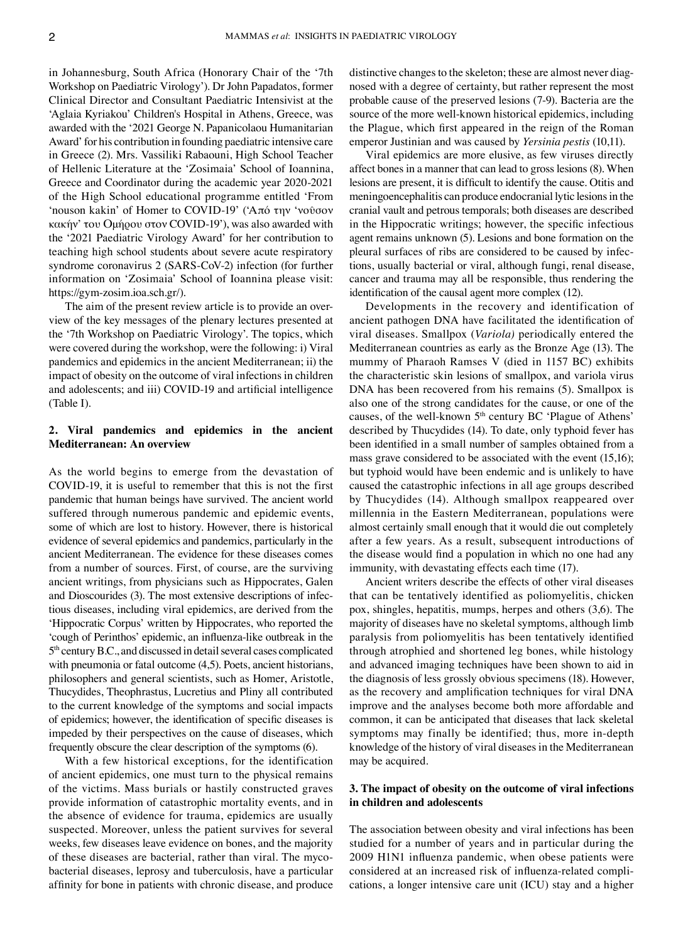in Johannesburg, South Africa (Honorary Chair of the '7th Workshop on Paediatric Virology'). Dr John Papadatos, former Clinical Director and Consultant Paediatric Intensivist at the 'Aglaia Kyriakou' Children's Hospital in Athens, Greece, was awarded with the '2021 George N. Papanicolaou Humanitarian Award' for his contribution in founding paediatric intensive care in Greece (2). Mrs. Vassiliki Rabaouni, High School Teacher of Hellenic Literature at the 'Zosimaia' School of Ioannina, Greece and Coordinator during the academic year 2020-2021 of the High School educational programme entitled 'From 'nouson kakin' of Homer to COVID‑19' ('Από την 'νοῦσον κακήν' του Ομήρου στον COVID-19'), was also awarded with the '2021 Paediatric Virology Award' for her contribution to teaching high school students about severe acute respiratory syndrome coronavirus 2 (SARS-CoV-2) infection (for further information on 'Zosimaia' School of Ioannina please visit: https://gym-zosim.ioa.sch.gr/).

The aim of the present review article is to provide an overview of the key messages of the plenary lectures presented at the '7th Workshop on Paediatric Virology'. The topics, which were covered during the workshop, were the following: i) Viral pandemics and epidemics in the ancient Mediterranean; ii) the impact of obesity on the outcome of viral infections in children and adolescents; and iii) COVID-19 and artificial intelligence (Table I).

## **2. Viral pandemics and epidemics in the ancient Mediterranean: An overview**

As the world begins to emerge from the devastation of COVID-19, it is useful to remember that this is not the first pandemic that human beings have survived. The ancient world suffered through numerous pandemic and epidemic events, some of which are lost to history. However, there is historical evidence of several epidemics and pandemics, particularly in the ancient Mediterranean. The evidence for these diseases comes from a number of sources. First, of course, are the surviving ancient writings, from physicians such as Hippocrates, Galen and Dioscourides (3). The most extensive descriptions of infectious diseases, including viral epidemics, are derived from the 'Hippocratic Corpus' written by Hippocrates, who reported the 'cough of Perinthos' epidemic, an influenza‑like outbreak in the 5<sup>th</sup> century B.C., and discussed in detail several cases complicated with pneumonia or fatal outcome (4,5). Poets, ancient historians, philosophers and general scientists, such as Homer, Aristotle, Thucydides, Theophrastus, Lucretius and Pliny all contributed to the current knowledge of the symptoms and social impacts of epidemics; however, the identification of specific diseases is impeded by their perspectives on the cause of diseases, which frequently obscure the clear description of the symptoms (6).

With a few historical exceptions, for the identification of ancient epidemics, one must turn to the physical remains of the victims. Mass burials or hastily constructed graves provide information of catastrophic mortality events, and in the absence of evidence for trauma, epidemics are usually suspected. Moreover, unless the patient survives for several weeks, few diseases leave evidence on bones, and the majority of these diseases are bacterial, rather than viral. The mycobacterial diseases, leprosy and tuberculosis, have a particular affinity for bone in patients with chronic disease, and produce distinctive changes to the skeleton; these are almost never diagnosed with a degree of certainty, but rather represent the most probable cause of the preserved lesions (7‑9). Bacteria are the source of the more well-known historical epidemics, including the Plague, which first appeared in the reign of the Roman emperor Justinian and was caused by *Yersinia pestis* (10,11).

Viral epidemics are more elusive, as few viruses directly affect bones in a manner that can lead to gross lesions (8). When lesions are present, it is difficult to identify the cause. Otitis and meningoencephalitis can produce endocranial lytic lesions in the cranial vault and petrous temporals; both diseases are described in the Hippocratic writings; however, the specific infectious agent remains unknown (5). Lesions and bone formation on the pleural surfaces of ribs are considered to be caused by infections, usually bacterial or viral, although fungi, renal disease, cancer and trauma may all be responsible, thus rendering the identification of the causal agent more complex (12).

Developments in the recovery and identification of ancient pathogen DNA have facilitated the identification of viral diseases. Smallpox (*Variola)* periodically entered the Mediterranean countries as early as the Bronze Age (13). The mummy of Pharaoh Ramses V (died in 1157 BC) exhibits the characteristic skin lesions of smallpox, and variola virus DNA has been recovered from his remains (5). Smallpox is also one of the strong candidates for the cause, or one of the causes, of the well-known 5<sup>th</sup> century BC 'Plague of Athens' described by Thucydides (14). To date, only typhoid fever has been identified in a small number of samples obtained from a mass grave considered to be associated with the event  $(15,16)$ ; but typhoid would have been endemic and is unlikely to have caused the catastrophic infections in all age groups described by Thucydides (14). Although smallpox reappeared over millennia in the Eastern Mediterranean, populations were almost certainly small enough that it would die out completely after a few years. As a result, subsequent introductions of the disease would find a population in which no one had any immunity, with devastating effects each time (17).

Ancient writers describe the effects of other viral diseases that can be tentatively identified as poliomyelitis, chicken pox, shingles, hepatitis, mumps, herpes and others (3,6). The majority of diseases have no skeletal symptoms, although limb paralysis from poliomyelitis has been tentatively identified through atrophied and shortened leg bones, while histology and advanced imaging techniques have been shown to aid in the diagnosis of less grossly obvious specimens (18). However, as the recovery and amplification techniques for viral DNA improve and the analyses become both more affordable and common, it can be anticipated that diseases that lack skeletal symptoms may finally be identified; thus, more in-depth knowledge of the history of viral diseases in the Mediterranean may be acquired.

# **3. The impact of obesity on the outcome of viral infections in children and adolescents**

The association between obesity and viral infections has been studied for a number of years and in particular during the 2009 H1N1 influenza pandemic, when obese patients were considered at an increased risk of influenza‑related complications, a longer intensive care unit (ICU) stay and a higher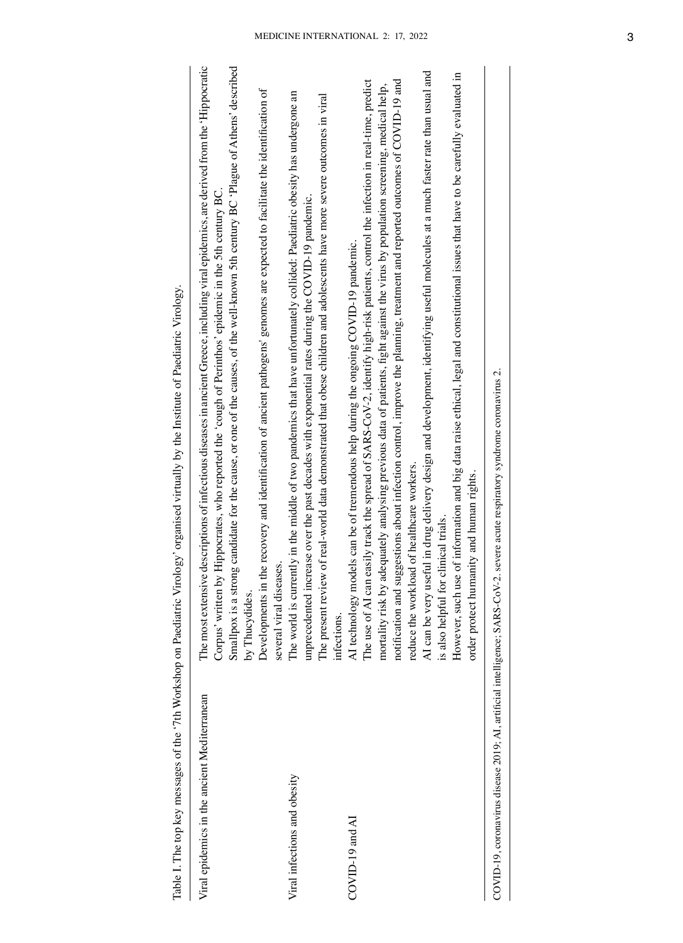| The most extensive descriptions of infectious diseases in ancient Greece, including viral epidemics, are derived from the 'Hippocratic<br>Smallpox is a strong candidate for the cause, or one of the causes, of the well-known 5th century BC 'Plague of Athens' described<br>the recovery and identification of ancient pathogens' genomes are expected to facilitate the identification of<br>Corpus' written by Hippocrates, who reported the 'cough of Perinthos' epidemic in the 5th century BC<br>several viral diseases.<br>Developments in<br>by Thucydides.                                                                                                                                                                                                                                                                                                                                           |
|-----------------------------------------------------------------------------------------------------------------------------------------------------------------------------------------------------------------------------------------------------------------------------------------------------------------------------------------------------------------------------------------------------------------------------------------------------------------------------------------------------------------------------------------------------------------------------------------------------------------------------------------------------------------------------------------------------------------------------------------------------------------------------------------------------------------------------------------------------------------------------------------------------------------|
| The world is currently in the middle of two pandemics that have unfortunately collided: Paediatric obesity has undergone an<br>The present review of real-world data demonstrated that obese children and adolescents have more severe outcomes in viral<br>unprecedented increase over the past decades with exponential rates during the COVID-19 pandemic.                                                                                                                                                                                                                                                                                                                                                                                                                                                                                                                                                   |
| AI can be very useful in drug delivery design and development, identifying useful molecules at a much faster rate than usual and<br>However, such use of information and big data raise ethical, legal and constitutional issues that have to be carefully evaluated in<br>easily track the spread of SARS-CoV-2, identify high-risk patients, control the infection in real-time, predict<br>notification and suggestions about infection control, improve the planning, treatment and reported outcomes of COVID-19 and<br>mortality risk by adequately analysing previous data of patients, fight against the virus by population screening, medical help,<br>AI technology models can be of tremendous help during the ongoing COVID-19 pandemic.<br>reduce the workload of healthcare workers.<br>order protect humanity and human rights.<br>clinical trials.<br>The use of AI can<br>is also helpful for |
| COVID-19, coronavirus disease 2019; AI, artificial intelligence; SARS-CoV-2. severe acute respiratory syndrome coronavirus 2.                                                                                                                                                                                                                                                                                                                                                                                                                                                                                                                                                                                                                                                                                                                                                                                   |
| infections.                                                                                                                                                                                                                                                                                                                                                                                                                                                                                                                                                                                                                                                                                                                                                                                                                                                                                                     |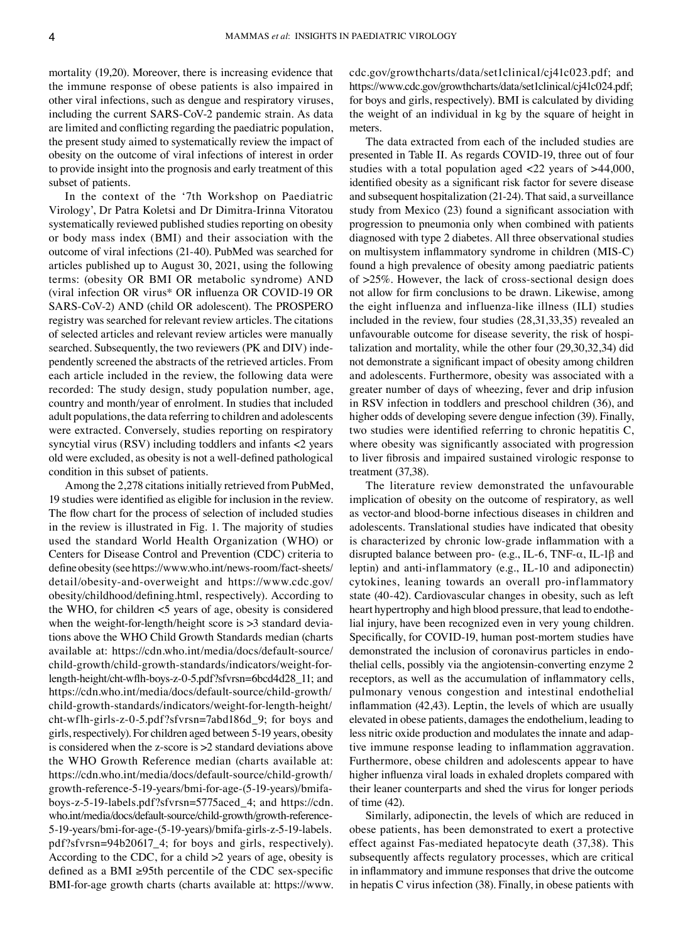mortality (19,20). Moreover, there is increasing evidence that the immune response of obese patients is also impaired in other viral infections, such as dengue and respiratory viruses, including the current SARS‑CoV‑2 pandemic strain. As data are limited and conflicting regarding the paediatric population, the present study aimed to systematically review the impact of obesity on the outcome of viral infections of interest in order to provide insight into the prognosis and early treatment of this subset of patients.

In the context of the '7th Workshop on Paediatric Virology', Dr Patra Koletsi and Dr Dimitra-Irinna Vitoratou systematically reviewed published studies reporting on obesity or body mass index (BMI) and their association with the outcome of viral infections (21-40). PubMed was searched for articles published up to August 30, 2021, using the following terms: (obesity OR BMI OR metabolic syndrome) AND (viral infection OR virus\* OR influenza OR COVID‑19 OR SARS-CoV-2) AND (child OR adolescent). The PROSPERO registry was searched for relevant review articles. The citations of selected articles and relevant review articles were manually searched. Subsequently, the two reviewers (PK and DIV) independently screened the abstracts of the retrieved articles. From each article included in the review, the following data were recorded: The study design, study population number, age, country and month/year of enrolment. In studies that included adult populations, the data referring to children and adolescents were extracted. Conversely, studies reporting on respiratory syncytial virus (RSV) including toddlers and infants <2 years old were excluded, as obesity is not a well‑defined pathological condition in this subset of patients.

Among the 2,278 citations initially retrieved from PubMed, 19 studies were identified as eligible for inclusion in the review. The flow chart for the process of selection of included studies in the review is illustrated in Fig. 1. The majority of studies used the standard World Health Organization (WHO) or Centers for Disease Control and Prevention (CDC) criteria to define obesity (see https://www.who.int/news-room/fact-sheets/ detail/obesity-and-overweight and https://www.cdc.gov/ obesity/childhood/defining.html, respectively). According to the WHO, for children <5 years of age, obesity is considered when the weight-for-length/height score is >3 standard deviations above the WHO Child Growth Standards median (charts available at: https://cdn.who.int/media/docs/default-source/ child-growth/child-growth- standards/indicators/weight- forlength-height/cht‑wflh‑boys‑z‑0‑5.pdf?sfvrsn=6bcd4d28\_11; and https://cdn.who.int/media/docs/default-source/child-growth/ child-growth-standards/indicators/weight- for-length- height/ cht‑wflh‑girls‑z‑0‑5.pdf?sfvrsn=7abd186d\_9; for boys and girls, respectively). For children aged between 5‑19 years, obesity is considered when the z-score is >2 standard deviations above the WHO Growth Reference median (charts available at: https://cdn.who.int/media/docs/default-source/child-growth/ growth- reference-5- 19- years/bmi-for-age- (5-19-years)/bmifaboys‑z‑5‑19‑labels.pdf?sfvrsn=5775aced\_4; and https://cdn. who.int/media/docs/default-source/child-growth/growth-reference-5-19- years/bmi-for-age- (5-19-years)/bmifa-girls-z-5-19-labels. pdf?sfvrsn=94b20617\_4; for boys and girls, respectively). According to the CDC, for a child >2 years of age, obesity is defined as a BMI  $\geq$ 95th percentile of the CDC sex-specific BMI-for-age growth charts (charts available at: https://www. cdc.gov/growthcharts/data/set1clinical/cj41c023.pdf; and https://www.cdc.gov/growthcharts/data/set1clinical/cj41c024.pdf; for boys and girls, respectively). BMI is calculated by dividing the weight of an individual in kg by the square of height in meters.

The data extracted from each of the included studies are presented in Table II. As regards COVID-19, three out of four studies with a total population aged <22 years of >44,000, identified obesity as a significant risk factor for severe disease and subsequent hospitalization (21-24). That said, a surveillance study from Mexico (23) found a significant association with progression to pneumonia only when combined with patients diagnosed with type 2 diabetes. All three observational studies on multisystem inflammatory syndrome in children (MIS‑C) found a high prevalence of obesity among paediatric patients of >25%. However, the lack of cross‑sectional design does not allow for firm conclusions to be drawn. Likewise, among the eight influenza and influenza-like illness (ILI) studies included in the review, four studies (28,31,33,35) revealed an unfavourable outcome for disease severity, the risk of hospitalization and mortality, while the other four (29,30,32,34) did not demonstrate a significant impact of obesity among children and adolescents. Furthermore, obesity was associated with a greater number of days of wheezing, fever and drip infusion in RSV infection in toddlers and preschool children (36), and higher odds of developing severe dengue infection (39). Finally, two studies were identified referring to chronic hepatitis C, where obesity was significantly associated with progression to liver fibrosis and impaired sustained virologic response to treatment (37,38).

The literature review demonstrated the unfavourable implication of obesity on the outcome of respiratory, as well as vector-and blood-borne infectious diseases in children and adolescents. Translational studies have indicated that obesity is characterized by chronic low‑grade inflammation with a disrupted balance between pro- (e.g., IL-6, TNF- $\alpha$ , IL-1 $\beta$  and leptin) and anti-inflammatory (e.g., IL-10 and adiponectin) cytokines, leaning towards an overall pro-inflammatory state (40-42). Cardiovascular changes in obesity, such as left heart hypertrophy and high blood pressure, that lead to endothelial injury, have been recognized even in very young children. Specifically, for COVID-19, human post-mortem studies have demonstrated the inclusion of coronavirus particles in endothelial cells, possibly via the angiotensin-converting enzyme 2 receptors, as well as the accumulation of inflammatory cells, pulmonary venous congestion and intestinal endothelial inflammation (42,43). Leptin, the levels of which are usually elevated in obese patients, damages the endothelium, leading to less nitric oxide production and modulates the innate and adaptive immune response leading to inflammation aggravation. Furthermore, obese children and adolescents appear to have higher influenza viral loads in exhaled droplets compared with their leaner counterparts and shed the virus for longer periods of time (42).

Similarly, adiponectin, the levels of which are reduced in obese patients, has been demonstrated to exert a protective effect against Fas‑mediated hepatocyte death (37,38). This subsequently affects regulatory processes, which are critical in inflammatory and immune responses that drive the outcome in hepatis C virus infection (38). Finally, in obese patients with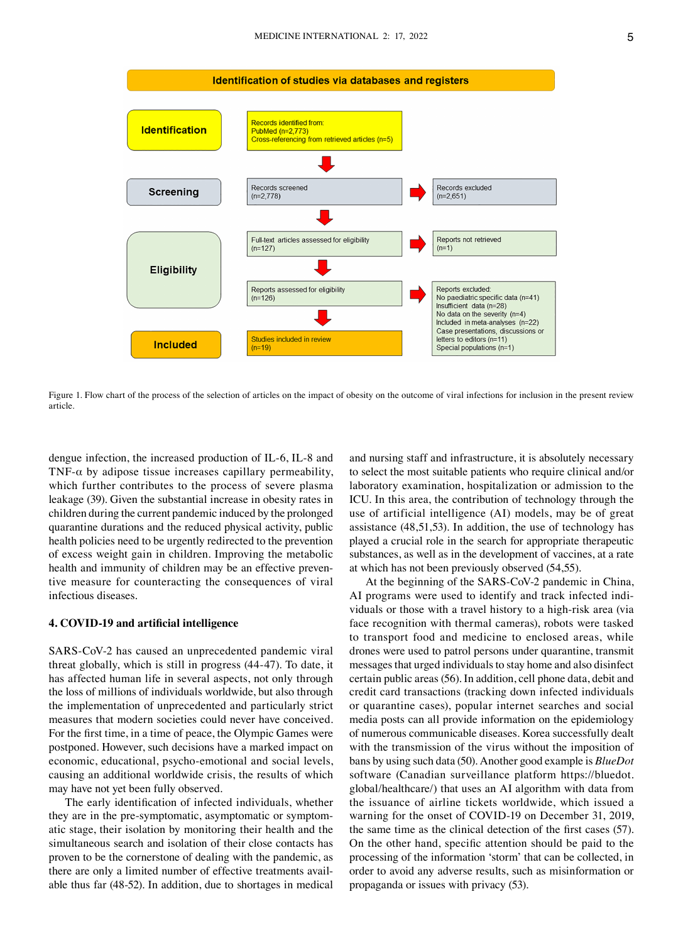

Figure 1. Flow chart of the process of the selection of articles on the impact of obesity on the outcome of viral infections for inclusion in the present review article.

dengue infection, the increased production of IL‑6, IL‑8 and TNF- $\alpha$  by adipose tissue increases capillary permeability, which further contributes to the process of severe plasma leakage (39). Given the substantial increase in obesity rates in children during the current pandemic induced by the prolonged quarantine durations and the reduced physical activity, public health policies need to be urgently redirected to the prevention of excess weight gain in children. Improving the metabolic health and immunity of children may be an effective preventive measure for counteracting the consequences of viral infectious diseases.

#### **4. COVID‑19 and artificial intelligence**

SARS-CoV-2 has caused an unprecedented pandemic viral threat globally, which is still in progress (44-47). To date, it has affected human life in several aspects, not only through the loss of millions of individuals worldwide, but also through the implementation of unprecedented and particularly strict measures that modern societies could never have conceived. For the first time, in a time of peace, the Olympic Games were postponed. However, such decisions have a marked impact on economic, educational, psycho-emotional and social levels, causing an additional worldwide crisis, the results of which may have not yet been fully observed.

The early identification of infected individuals, whether they are in the pre-symptomatic, asymptomatic or symptomatic stage, their isolation by monitoring their health and the simultaneous search and isolation of their close contacts has proven to be the cornerstone of dealing with the pandemic, as there are only a limited number of effective treatments available thus far (48-52). In addition, due to shortages in medical and nursing staff and infrastructure, it is absolutely necessary to select the most suitable patients who require clinical and/or laboratory examination, hospitalization or admission to the ICU. In this area, the contribution of technology through the use of artificial intelligence (AI) models, may be of great assistance (48,51,53). In addition, the use of technology has played a crucial role in the search for appropriate therapeutic substances, as well as in the development of vaccines, at a rate at which has not been previously observed (54,55).

At the beginning of the SARS-CoV-2 pandemic in China, AI programs were used to identify and track infected individuals or those with a travel history to a high-risk area (via face recognition with thermal cameras), robots were tasked to transport food and medicine to enclosed areas, while drones were used to patrol persons under quarantine, transmit messages that urged individuals to stay home and also disinfect certain public areas (56). In addition, cell phone data, debit and credit card transactions (tracking down infected individuals or quarantine cases), popular internet searches and social media posts can all provide information on the epidemiology of numerous communicable diseases. Korea successfully dealt with the transmission of the virus without the imposition of bans by using such data (50). Another good example is *BlueDot*  software (Canadian surveillance platform https://bluedot. global/healthcare/) that uses an AI algorithm with data from the issuance of airline tickets worldwide, which issued a warning for the onset of COVID-19 on December 31, 2019, the same time as the clinical detection of the first cases (57). On the other hand, specific attention should be paid to the processing of the information 'storm' that can be collected, in order to avoid any adverse results, such as misinformation or propaganda or issues with privacy (53).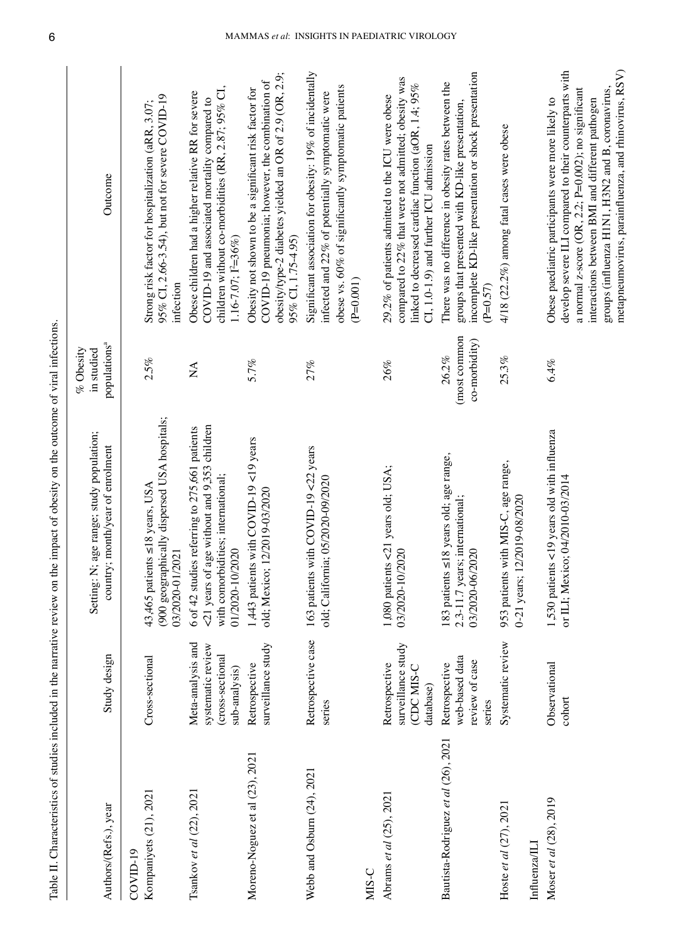| Authors/(Refs.), year                   | Study design                                                                | Setting: N; age range; study population;<br>country; month/year of enrolment                                                                          | populations <sup>a</sup><br>$%$ Obesity<br>in studied | Outcome                                                                                                                                                                                                                                                                                                                           |
|-----------------------------------------|-----------------------------------------------------------------------------|-------------------------------------------------------------------------------------------------------------------------------------------------------|-------------------------------------------------------|-----------------------------------------------------------------------------------------------------------------------------------------------------------------------------------------------------------------------------------------------------------------------------------------------------------------------------------|
| Kompaniyets (21), 2021<br>$COVID-19$    | Cross-sectional                                                             | (900 geographically dispersed USA hospitals;<br>43,465 patients ≤18 years, USA<br>03/2020-01/2021                                                     | 2.5%                                                  | 95% CI, 2.66-3.54), but not for severe COVID-19<br>Strong risk factor for hospitalization (aRR, 3.07;<br>infection                                                                                                                                                                                                                |
| Tsankov et al (22), 2021                | Meta-analysis and<br>systematic review<br>cross-sectional)<br>sub-analysis) | <21 years of age without and 9,353 children<br>6 of 42 studies referring to 275,661 patients<br>with comorbidities; international;<br>01/2020-10/2020 | $\sum_{i=1}^{n}$                                      | children without co-morbidities (RR, $2.87$ ; $95\%$ CI,<br>Obese children had a higher relative RR for severe<br>COVID-19 and associated mortality compared to<br>$1.16 - 7.07$ ; $I^2 = 36\%$                                                                                                                                   |
| Moreno-Noguez et al (23), 2021          | surveillance study<br>Retrospective                                         | 1,443 patients with COVID-19 <19 years<br>old; Mexico; 12/2019-03/2020                                                                                | 5.7%                                                  | obesity/type-2 diabetes yielded an OR of 2.9 (OR, 2.9;<br>COVID-19 pneumonia; however, the combination of<br>Obesity not shown to be a significant risk factor for<br>95% CI, 1.75-4.95)                                                                                                                                          |
| Webb and Osburn (24), 2021              | Retrospective case<br>series                                                | 163 patients with COVID-19 <22 years<br>old; California; 05/2020-09/2020                                                                              | 27%                                                   | Significant association for obesity: 19% of incidentally<br>obese vs. 60% of significantly symptomatic patients<br>infected and 22% of potentially symptomatic were<br>$(P=0.001)$                                                                                                                                                |
| MIS-C                                   |                                                                             |                                                                                                                                                       |                                                       |                                                                                                                                                                                                                                                                                                                                   |
| Abrams et al (25), 2021                 | surveillance study<br>Retrospective<br>CDC MIS-C<br>database)               | 1,080 patients <21 years old; USA;<br>03/2020-10/2020                                                                                                 | 26%                                                   | compared to 22% that were not admitted; obesity was<br>linked to decreased cardiac function (aOR, 1.4; 95%<br>29.2% of patients admitted to the ICU were obese<br>CI, 1.0-1.9) and further ICU admission                                                                                                                          |
| Bautista-Rodriguez et al (26), 2021     | web-based data<br>review of case<br>Retrospective<br>series                 | 183 patients $\leq$ 18 years old; age range,<br>2.3-11.7 years; international;<br>03/2020-06/2020                                                     | (most common<br>co-morbidity)<br>26.2%                | incomplete KD-like presentation or shock presentation<br>There was no difference in obesity rates between the<br>groups that presented with KD-like presentation,<br>$(P=0.57)$                                                                                                                                                   |
| Hoste et al (27), 2021<br>Influenza/ILI | Systematic review                                                           | 953 patients with MIS-C, age range,<br>0-21 years; 12/2019-08/2020                                                                                    | 25.3%                                                 | $4/18$ (22.2%) among fatal cases were obese                                                                                                                                                                                                                                                                                       |
| Moser et al (28), 2019                  | Observational<br>cohort                                                     | 1,530 patients <19 years old with influenza<br>or ILI; Mexico; 04/2010-03/2014                                                                        | 6.4%                                                  | metapneumovirus, parainfluenza, and rhinovirus, RSV)<br>develop severe ILI compared to their counterparts with<br>groups (influenza H1N1, H3N2 and B, coronavirus,<br>a normal z-score (OR, 2.2; P=0.002); no significant<br>Obese paediatric participants were more likely to<br>interactions between BMI and different pathogen |

Table II. Characteristics of studies included in the narrative review on the impact of obesity on the outcome of viral infections.

Table II. Characteristics of studies included in the narrative review on the impact of obesity on the outcome of viral infections.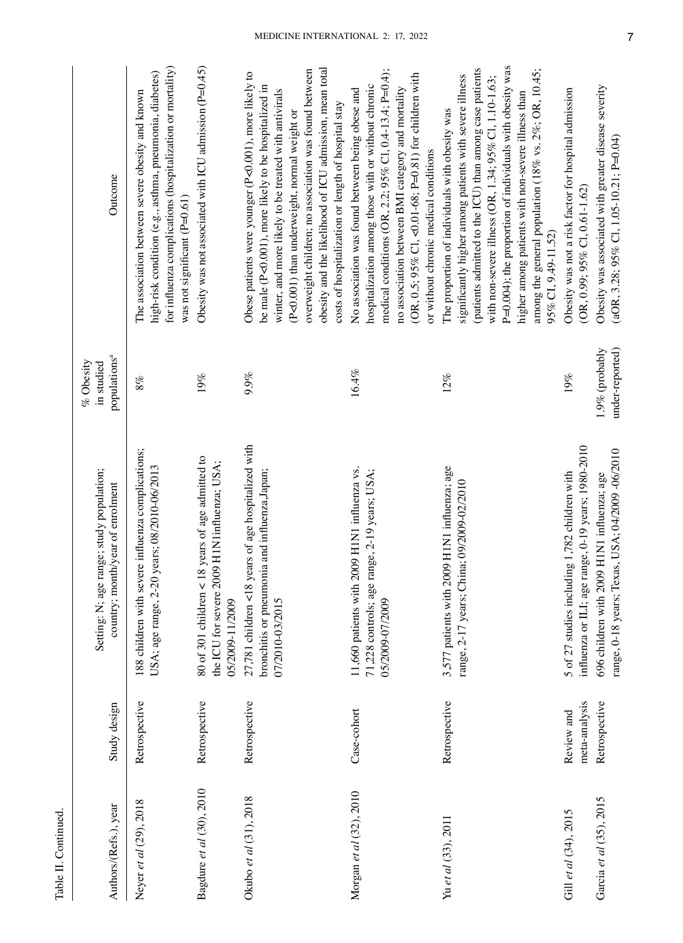| ŏ                          |  |
|----------------------------|--|
| Ξ<br>⋍<br>3<br>۴<br>ï<br>€ |  |
|                            |  |
| $_{\rm {tabk}}$            |  |
|                            |  |

| Authors/(Refs.), year    | Study design                | Setting: N; age range; study population;<br>country; month/year of enrolment                                             | populations <sup>a</sup><br>$%$ Obesity<br>in studied | Outcome                                                                                                                                                                                                                                                                                                                                                                                                                               |
|--------------------------|-----------------------------|--------------------------------------------------------------------------------------------------------------------------|-------------------------------------------------------|---------------------------------------------------------------------------------------------------------------------------------------------------------------------------------------------------------------------------------------------------------------------------------------------------------------------------------------------------------------------------------------------------------------------------------------|
| Neyer et al (29), 2018   | Retrospective               | 188 children with severe influenza complications;<br>years; 08/2010-06/2013<br>USA; age range, 2-20                      | 8%                                                    | for influenza complications (hospitalization or mortality)<br>high-risk condition (e.g., asthma, pneumonia, diabetes)<br>The association between severe obesity and known<br>was not significant (P=0.61)                                                                                                                                                                                                                             |
| Bagdure et al (30), 2010 | Retrospective               | 8 years of age admitted to<br>the ICU for severe 2009 H1N1influenza; USA;<br>80 of 301 children $<$ 1<br>05/2009-11/2009 | 19%                                                   | Obesity was not associated with ICU admission $(P=0.45)$                                                                                                                                                                                                                                                                                                                                                                              |
| Okubo et al (31), 2018   | Retrospective               | 27,781 children <18 years of age hospitalized with<br>bronchitis or pneumonia and influenza, Japan;<br>07/2010-03/2015   | 9.9%                                                  | obesity and the likelihood of ICU admission, mean total<br>overweight children; no association was found between<br>Obese patients were younger (P<0.001), more likely to<br>be male (P<0.001), more likely to be hospitalized in<br>winter, and more likely to be treated with antivirals<br>costs of hospitalization or length of hospital stay<br>(P<0.001) than underweight, normal weight or                                     |
| Morgan et al (32), 2010  | Case-cohort                 | 11,660 patients with 2009 H1N1 influenza vs.<br>71,228 controls; age range, 2-19 years; USA;<br>05/2009-07/2009          | 16.4%                                                 | medical conditions (OR, 2.2; $95\%$ Cl, 0.4-13.4; P=0.4);<br>(OR, 0.5; 95% Cl, <0.01-68; P=0.81) for children with<br>hospitalization among those with or without chronic<br>no association between BMI category and mortality<br>No association was found between being obese and<br>or without chronic medical conditions                                                                                                           |
| Yu et al (33), 2011      | Retrospective               | 3,577 patients with 2009 H1N1 influenza; age<br>range, 2-17 years; China; 09/2009-02/2010                                | 12%                                                   | P=0.004); the proportion of individuals with obesity was<br>(patients admitted to the ICU) than among case patients<br>among the general population (18% vs. $2\%$ ; OR, 10.45;<br>significantly higher among patients with severe illness<br>with non-severe illness (OR, 1.34; $95\%$ Cl, 1.10-1.63;<br>higher among patients with non-severe illness than<br>The proportion of individuals with obesity was<br>95% CI, 9.49-11.52) |
| Gill et al $(34)$ , 2015 | meta-analysis<br>Review and | influenza or ILI; age range, 0-19 years; 1980-2010<br>5 of 27 studies including 1,782 children with                      | 19%                                                   | Obesity was not a risk factor for hospital admission<br>$(OR, 0.99; 95\% CI, 0.61-1.62)$                                                                                                                                                                                                                                                                                                                                              |
| Garcia et al (35), 2015  | Retrospective               | range, 0-18 years; Texas, USA; 04/2009 -06/2010<br>696 children with 2009 H1N1 influenza; age                            | $1.9\%$ (probably<br>under-reported)                  | Obesity was associated with greater disease severity<br>(aOR, 3.28; $95\%$ Cl, 1.05-10.21; P=0.04)                                                                                                                                                                                                                                                                                                                                    |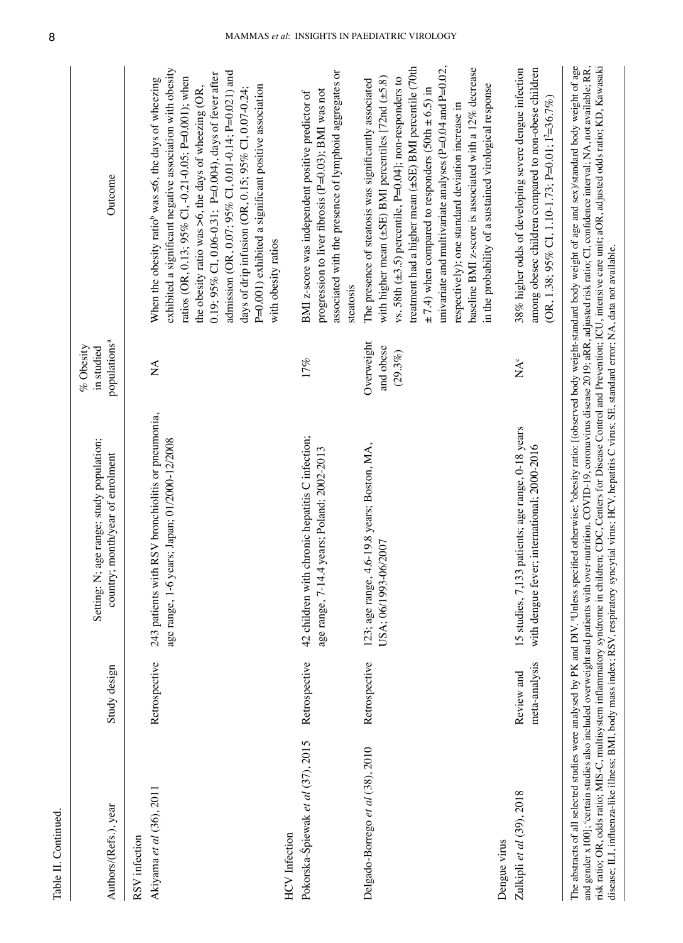| ١<br>ŗ           |
|------------------|
| ֠<br>Ī           |
|                  |
| Ş<br>ź<br>Ť<br>r |

| Authors/(Refs.), year                                     | Study design                | age range; study population;<br>country; month/year of enrolment<br>Setting: N;                                                                                   | populations <sup>a</sup><br>$%$ Obesity<br>in studied | Outcome                                                                                                                                                                                                                                                                                                                                                                                                                                                                                                                                                                                                                                   |
|-----------------------------------------------------------|-----------------------------|-------------------------------------------------------------------------------------------------------------------------------------------------------------------|-------------------------------------------------------|-------------------------------------------------------------------------------------------------------------------------------------------------------------------------------------------------------------------------------------------------------------------------------------------------------------------------------------------------------------------------------------------------------------------------------------------------------------------------------------------------------------------------------------------------------------------------------------------------------------------------------------------|
| Akiyama et al (36), 2011<br>RSV infection                 | Retrospective               | 243 patients with RSV bronchiolitis or pneumonia,<br>age range, 1-6 years; Japan; 01/2000-12/2008                                                                 | $\mathbb{\hat{Z}}$                                    | exhibited a significant negative association with obesity<br>admission (OR, 0.07; 95% Cl, 0.01-0.14; P=0.021) and<br>0.19; 95% Cl, 0.06-0.31; P=0.004), days of fever after<br>ratios (OR, 0.13; 95% Cl, -0.21-0.05; P=0.001); when<br>When the obesity ratio <sup>b</sup> was <6, the days of wheezing<br>P=0.001) exhibited a significant positive association<br>the obesity ratio was >6, the days of wheezing (OR,<br>days of drip infusion (OR, 0.15; 95% Cl, 0.07-0.24;<br>with obesity ratios                                                                                                                                     |
| Pokorska-Śpiewak et al (37), 2015<br><b>HCV</b> Infection | Retrospective               | chronic hepatitis C infection;<br>age range, 7-14.4 years; Poland; 2002-2013<br>42 children with                                                                  | 17%                                                   | associated with the presence of lymphoid aggregates or<br>progression to liver fibrosis (P=0.03); BMI was not<br>BMI z-score was independent positive predictor of<br>steatosis                                                                                                                                                                                                                                                                                                                                                                                                                                                           |
| Delgado-Borrego et al (38), 2010                          | Retrospective               | 123; age range, 4.6-19.8 years; Boston, MA,<br>USA; 06/1993-06/2007                                                                                               | Overweight<br>and obese<br>$(29.3\%)$                 | univariate and multivariate analyses (P=0.04 and P=0.02,<br>treatment had a higher mean (±SE) BMI percentile (70th<br>baseline BMI z-score is associated with a 12% decrease<br>with higher mean $(\pm SE)$ BMI percentiles [72nd $(\pm 5.8)$ ]<br>vs. 58th $(\pm 3.5)$ percentile, P=0.04]; non-responders to<br>The presence of steatosis was significantly associated<br>in the probability of a sustained virological response<br>$\pm$ 7.4) when compared to responders (50th $\pm$ 6.5) in<br>respectively); one standard deviation increase in                                                                                     |
| Zulkipli et al (39), 2018<br>Dengue virus                 | meta-analysis<br>Review and | 15 studies, 7,133 patients; age range, 0-18 years<br>with dengue fever; international; 2000-2016                                                                  | $NA^{\circ}$                                          | 38% higher odds of developing severe dengue infection<br>among obesec children compared to non-obese children<br>(OR, 1.38; 95% CI, 1.10-1.73; P=0.01; $I^2=36.7%$ )                                                                                                                                                                                                                                                                                                                                                                                                                                                                      |
|                                                           |                             | disease; ILI, influenza-like illness; BMI, body mass index; RSV, respiratory syncytial virus; HCV, hepatitis C virus; SE, standard error; NA, data not available. |                                                       | The abstracts of all selected studies were analysed by PK and DIV. <sup>4</sup> Unless specified otherwise; bobesity ratio: [(observed body weight-standard body weight of age and sex)/standard body weight of age<br>and gender x100]; 'certain studies also included overweight and patients with over-nutrition. COVID-19, coronavirus disease 2019; aRR, adjusted risk ratio; CI, confidence interval; NA, not available; RR,<br>risk ratio; OR, odds ratio; MIS-C, multisystem inflammatory syndrome in children; CDC, Centers for Disease Control and Prevention; ICU, intensive care unit; aOR, adjusted odds ratio; KD, Kawasaki |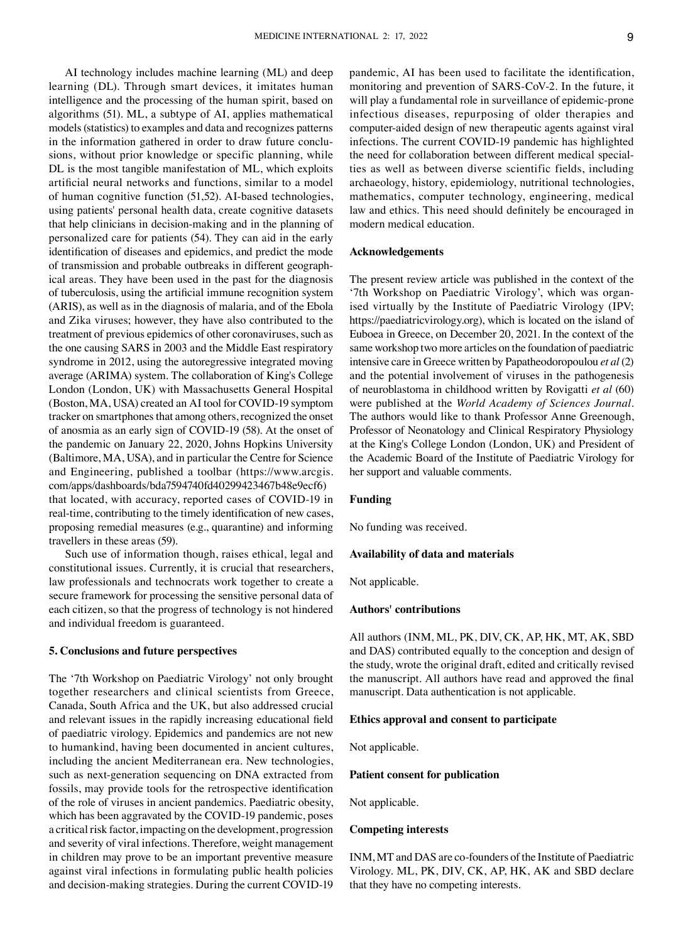AI technology includes machine learning (ML) and deep learning (DL). Through smart devices, it imitates human intelligence and the processing of the human spirit, based on algorithms (51). ML, a subtype of AI, applies mathematical models (statistics) to examples and data and recognizes patterns in the information gathered in order to draw future conclusions, without prior knowledge or specific planning, while DL is the most tangible manifestation of ML, which exploits artificial neural networks and functions, similar to a model of human cognitive function (51,52). AI-based technologies, using patients' personal health data, create cognitive datasets that help clinicians in decision-making and in the planning of personalized care for patients (54). They can aid in the early identification of diseases and epidemics, and predict the mode of transmission and probable outbreaks in different geographical areas. They have been used in the past for the diagnosis of tuberculosis, using the artificial immune recognition system (ARIS), as well as in the diagnosis of malaria, and of the Ebola and Zika viruses; however, they have also contributed to the treatment of previous epidemics of other coronaviruses, such as the one causing SARS in 2003 and the Middle East respiratory syndrome in 2012, using the autoregressive integrated moving average (ARIMA) system. The collaboration of King's College London (London, UK) with Massachusetts General Hospital (Boston, MA, USA) created an AI tool for COVID‑19 symptom tracker on smartphones that among others, recognized the onset of anosmia as an early sign of COVID-19 (58). At the onset of the pandemic on January 22, 2020, Johns Hopkins University (Baltimore, MA, USA), and in particular the Centre for Science and Engineering, published a toolbar (https://www.arcgis. com/apps/dashboards/bda7594740fd40299423467b48e9ecf6) that located, with accuracy, reported cases of COVID-19 in real-time, contributing to the timely identification of new cases, proposing remedial measures (e.g., quarantine) and informing travellers in these areas (59).

Such use of information though, raises ethical, legal and constitutional issues. Currently, it is crucial that researchers, law professionals and technocrats work together to create a secure framework for processing the sensitive personal data of each citizen, so that the progress of technology is not hindered and individual freedom is guaranteed.

#### **5. Conclusions and future perspectives**

The '7th Workshop on Paediatric Virology' not only brought together researchers and clinical scientists from Greece, Canada, South Africa and the UK, but also addressed crucial and relevant issues in the rapidly increasing educational field of paediatric virology. Epidemics and pandemics are not new to humankind, having been documented in ancient cultures, including the ancient Mediterranean era. New technologies, such as next-generation sequencing on DNA extracted from fossils, may provide tools for the retrospective identification of the role of viruses in ancient pandemics. Paediatric obesity, which has been aggravated by the COVID-19 pandemic, poses a critical risk factor, impacting on the development, progression and severity of viral infections. Therefore, weight management in children may prove to be an important preventive measure against viral infections in formulating public health policies and decision-making strategies. During the current COVID-19 pandemic, AI has been used to facilitate the identification, monitoring and prevention of SARS‑CoV‑2. In the future, it will play a fundamental role in surveillance of epidemic-prone infectious diseases, repurposing of older therapies and computer-aided design of new therapeutic agents against viral infections. The current COVID-19 pandemic has highlighted the need for collaboration between different medical specialties as well as between diverse scientific fields, including archaeology, history, epidemiology, nutritional technologies, mathematics, computer technology, engineering, medical law and ethics. This need should definitely be encouraged in modern medical education.

#### **Acknowledgements**

The present review article was published in the context of the '7th Workshop on Paediatric Virology', which was organised virtually by the Institute of Paediatric Virology (IPV; https://paediatricvirology.org), which is located on the island of Euboea in Greece, on December 20, 2021. In the context of the same workshop two more articles on the foundation of paediatric intensive care in Greece written by Papatheodoropoulou *et al* (2) and the potential involvement of viruses in the pathogenesis of neuroblastoma in childhood written by Rovigatti *et al* (60) were published at the *World Academy of Sciences Journal*. The authors would like to thank Professor Anne Greenough, Professor of Neonatology and Clinical Respiratory Physiology at the King's College London (London, UK) and President of the Academic Board of the Institute of Paediatric Virology for her support and valuable comments.

#### **Funding**

No funding was received.

#### **Availability of data and materials**

Not applicable.

#### **Authors' contributions**

All authors (INM, ML, PK, DIV, CK, AP, HK, MT, AK, SBD and DAS) contributed equally to the conception and design of the study, wrote the original draft, edited and critically revised the manuscript. All authors have read and approved the final manuscript. Data authentication is not applicable.

#### **Ethics approval and consent to participate**

Not applicable.

#### **Patient consent for publication**

Not applicable.

#### **Competing interests**

INM, MT and DAS are co-founders of the Institute of Paediatric Virology. ML, PK, DIV, CK, AP, HK, AK and SBD declare that they have no competing interests.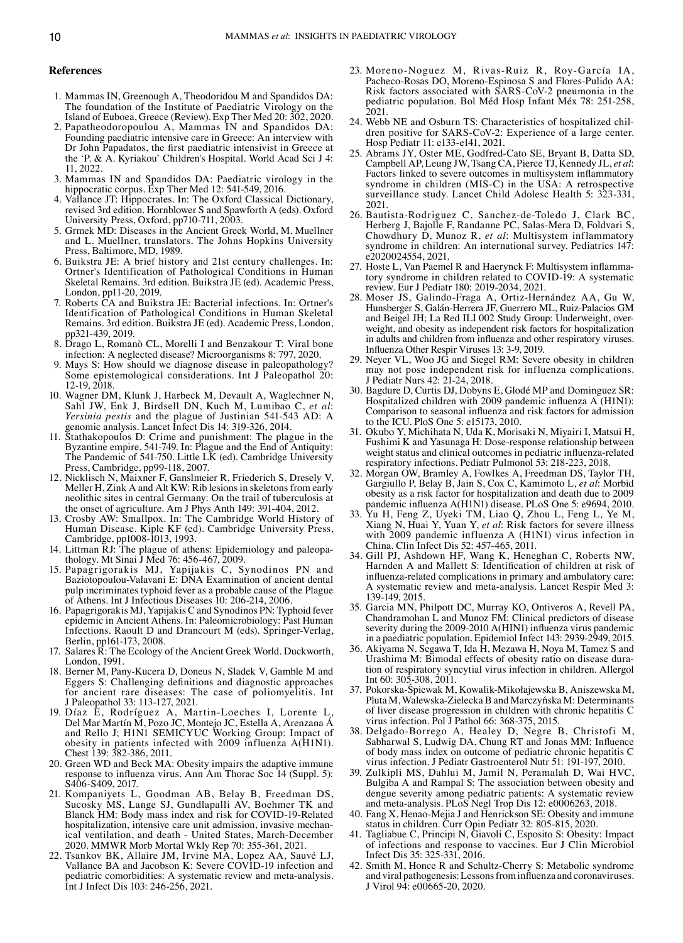#### **References**

- 1. Mammas IN, Greenough A, Theodoridou M and Spandidos DA: The foundation of the Institute of Paediatric Virology on the Island of Euboea, Greece (Review). Exp Ther Med 20: 302, 2020.
- 2. Papatheodoropoulou A, Mammas IN and Spandidos DA: Founding paediatric intensive care in Greece: An interview with Dr John Papadatos, the first paediatric intensivist in Greece at the 'P. & A. Kyriakou' Children's Hospital. World Acad Sci J 4: 11, 2022.
- 3. Mammas IN and Spandidos DA: Paediatric virology in the hippocratic corpus. Exp Ther Med 12: 541-549, 2016.
- 4. Vallance JT: Hippocrates. In: The Oxford Classical Dictionary, revised 3rd edition. Hornblower S and Spawforth A (eds). Oxford University Press, Oxford, pp710-711, 2003.
- 5. Grmek MD: Diseases in the Ancient Greek World, M. Muellner and L. Muellner, translators. The Johns Hopkins University Press, Baltimore, MD, 1989.
- 6. Buikstra JE: A brief history and 21st century challenges. In: Ortner's Identification of Pathological Conditions in Human Skeletal Remains. 3rd edition. Buikstra JE (ed). Academic Press, London, pp11-20, 2019.
- 7. Roberts CA and Buikstra JE: Bacterial infections. In: Ortner's Identification of Pathological Conditions in Human Skeletal Remains. 3rd edition. Buikstra JE (ed). Academic Press, London, pp321-439, 2019.
- 8. Drago L, Romanò CL, Morelli I and Benzakour T: Viral bone infection: A neglected disease? Microorganisms 8: 797, 2020.
- 9. Mays S: How should we diagnose disease in paleopathology? Some epistemological considerations. Int J Paleopathol 20: 12-19, 2018.
- 10. Wagner DM, Klunk J, Harbeck M, Devault A, Waglechner N, Sahl JW, Enk J, Birdsell DN, Kuch M, Lumibao C, *et al*: *Yersinia pestis* and the plague of Justinian 541‑543 AD: A genomic analysis. Lancet Infect Dis 14: 319-326, 2014.
- 11. Stathakopoulos D: Crime and punishment: The plague in the Byzantine empire, 541‑749. In: Plague and the End of Antiquity: The Pandemic of 541-750. Little LK (ed). Cambridge University Press, Cambridge, pp99-118, 2007.
- 12. Nicklisch N, Maixner F, Ganslmeier R, Friederich S, Dresely V, Meller H, Zink A and Alt KW: Rib lesions in skeletons from early neolithic sites in central Germany: On the trail of tuberculosis at the onset of agriculture. Am J Phys Anth 149: 391-404, 2012.
- 13. Crosby AW: Smallpox. In: The Cambridge World History of Human Disease. Kiple KF (ed). Cambridge University Press, Cambridge, pp1008-1013, 1993.<br>14. Littman RJ: The plague of athens: Epidemiology and paleopa-
- 14. Littman RJ: The plague of athens: Epidemiology and paleopa- thology. Mt Sinai J Med 76: 456-467, 2009.
- 15. Papagrigorakis MJ, Yapijakis C, Synodinos PN and Baziotopoulou-Valavani E: DNA Examination of ancient dental pulp incriminates typhoid fever as a probable cause of the Plague of Athens. Int J Infectious Diseases 10: 206‑214, 2006.
- 16. Papagrigorakis MJ, Yapijakis C and Synodinos PN: Typhoid fever epidemic in Ancient Athens. In: Paleomicrobiology: Past Human Infections. Raoult D and Drancourt M (eds). Springer‑Verlag, Berlin, pp161‑173, 2008.
- 17. Salares R: The Ecology of the Ancient Greek World. Duckworth, London, 1991.
- 18. Berner M, Pany‑Kucera D, Doneus N, Sladek V, Gamble M and Eggers S: Challenging definitions and diagnostic approaches for ancient rare diseases: The case of poliomyelitis. Int J Paleopathol 33: 113‑127, 2021.
- 19. Díaz E, Rodríguez A, Martin‑Loeches I, Lorente L, Del Mar Martín M, Pozo JC, Montejo JC, Estella A, Arenzana Á and Rello J; H1N1 SEMICYUC Working Group: Impact of obesity in patients infected with 2009 influenza A(H1N1). Chest 139: 382-386, 2011.
- 20. Green WD and Beck MA: Obesity impairs the adaptive immune response to influenza virus. Ann Am Thorac Soc 14 (Suppl. 5): S406‑S409, 2017.
- 21. Kompaniyets L, Goodman AB, Belay B, Freedman DS, Sucosky MS, Lange SJ, Gundlapalli AV, Boehmer TK and Blanck HM: Body mass index and risk for COVID‑19‑Related hospitalization, intensive care unit admission, invasive mechan-<br>ical ventilation, and death - United States, March-December<br>2020. MMWR Morb Mortal Wkly Rep 70: 355-361, 2021.
- 22. Tsankov BK, Allaire JM, Irvine MA, Lopez AA, Sauvé LJ, Vallance BA and Jacobson K: Severe COVID-19 infection and pediatric comorbidities: A systematic review and meta-analysis. Int J Infect Dis 103: 246‑256, 2021.
- 23. Moreno-Noguez M, Rivas‑Ruiz R, Roy-García IA, Pacheco‑Rosas DO, Moreno‑Espinosa S and Flores‑Pulido AA: Risk factors associated with SARS-CoV-2 pneumonia in the pediatric population. Bol Méd Hosp Infant Méx 78: 251-258, 2021.
- 24. Webb NE and Osburn TS: Characteristics of hospitalized children positive for SARS-CoV-2: Experience of a large center. Hosp Pediatr 11: e133‑e141, 2021.
- 25. Abrams JY, Oster ME, Godfred‑Cato SE, Bryant B, Datta SD, Campbell AP, Leung JW, Tsang CA, Pierce TJ, Kennedy JL, *et al*: Factors linked to severe outcomes in multisystem inflammatory syndrome in children (MIS‑C) in the USA: A retrospective surveillance study. Lancet Child Adolesc Health 5: 323-331, 2021.
- 26. Bautista‑Rodriguez C, Sanchez‑de‑Toledo J, Clark BC, Herberg J, Bajolle F, Randanne PC, Salas‑Mera D, Foldvari S, Chowdhury D, Munoz R, *et al*: Multisystem inflammatory syndrome in children: An international survey. Pediatrics 147: e2020024554, 2021.
- 27. Hoste L, Van Paemel R and Haerynck F: Multisystem inflammatory syndrome in children related to COVID-19: A systematic review. Eur J Pediatr 180: 2019‑2034, 2021.
- 28. Moser JS, Galindo‑Fraga A, Ortiz‑Hernández AA, Gu W, Hunsberger S, Galán-Herrera JF, Guerrero ML, Ruiz-Palacios GM<br>and Beigel JH; La Red ILI 002 Study Group: Underweight, overweight, and obesity as independent risk factors for hospitalization in adults and children from influenza and other respiratory viruses. Influenza Other Respir Viruses 13: 3‑9, 2019.
- 29. Neyer VL, Woo JG and Siegel RM: Severe obesity in children may not pose independent risk for influenza complications. J Pediatr Nurs 42: 21‑24, 2018.
- 30. Bagdure D, Curtis DJ, Dobyns E, Glodé MP and Dominguez SR: Hospitalized children with 2009 pandemic influenza A (H1N1): Comparison to seasonal influenza and risk factors for admission to the ICU. PloS One 5: e15173, 2010.
- 31. Okubo Y, Michihata N, Uda K, Morisaki N, Miyairi I, Matsui H, Fushimi K and Yasunaga H: Dose‑response relationship between weight status and clinical outcomes in pediatric influenza-related respiratory infections. Pediatr Pulmonol 53: 218-223. 2018.
- 32. Morgan OW, Bramley A, Fowlkes A, Freedman DS, Taylor TH, Gargiullo P, Belay B, Jain S, Cox C, Kamimoto L, *et al*: Morbid obesity as a risk factor for hospitalization and death due to 2009 pandemic influenza A(H1N1) disease. PLoS One 5: e9694, 2010.
- 33. Yu H, Feng Z, Uyeki TM, Liao Q, Zhou L, Feng L, Ye M, Xiang N, Huai Y, Yuan Y, *et al*: Risk factors for severe illness with 2009 pandemic influenza A (H1N1) virus infection in China. Clin Infect Dis 52: 457-465, 2011.
- 34. Gill PJ, Ashdown HF, Wang K, Heneghan C, Roberts NW, Harnden A and Mallett S: Identification of children at risk of influenza-related complications in primary and ambulatory care: A systematic review and meta-analysis. Lancet Respir Med 3: 139-149, 2015.<br>35. Garcia MN, Philpott DC, Murray KO, Ontiveros A, Revell PA,
- Chandramohan L and Munoz FM: Clinical predictors of disease severity during the 2009-2010 A(HIN1) influenza virus pandemic in a paediatric population. Epidemiol Infect 143: 2939-2949, 2015.
- 36. Akiyama N, Segawa T, Ida H, Mezawa H, Noya M, Tamez S and Urashima M: Bimodal effects of obesity ratio on disease duration of respiratory syncytial virus infection in children. Allergol Int 60: 305-308, 2011.
- 37. Pokorska‑Śpiewak M, Kowalik‑Mikołajewska B, Aniszewska M, Pluta M, Walewska‑Zielecka B and Marczyńska M: Determinants of liver disease progression in children with chronic hepatitis C virus infection. Pol J Pathol 66: 368‑375, 2015.
- 38. Delgado‑Borrego A, Healey D, Negre B, Christofi M, Sabharwal S, Ludwig DA, Chung RT and Jonas MM: Influence of body mass index on outcome of pediatric chronic hepatitis C virus infection. J Pediatr Gastroenterol Nutr 51: 191‑197, 2010.
- 39. Zulkipli MS, Dahlui M, Jamil N, Peramalah D, Wai HVC, Bulgiba A and Rampal S: The association between obesity and dengue severity among pediatric patients: A systematic review and meta‑analysis. PLoS Negl Trop Dis 12: e0006263, 2018.
- 40. Fang X, Henao‑Mejia J and Henrickson SE: Obesity and immune status in children. Curr Opin Pediatr 32: 805-815, 2020.
- 41. Tagliabue C, Principi N, Giavoli C, Esposito S: Obesity: Impact of infections and response to vaccines. Eur J Clin Microbiol Infect Dis 35: 325-331, 2016.
- 42. Smith M, Honce R and Schultz-Cherry S: Metabolic syndrome and viral pathogenesis:Lessonsfrominfluenza and coronaviruses. J Virol 94: e00665‑20, 2020.